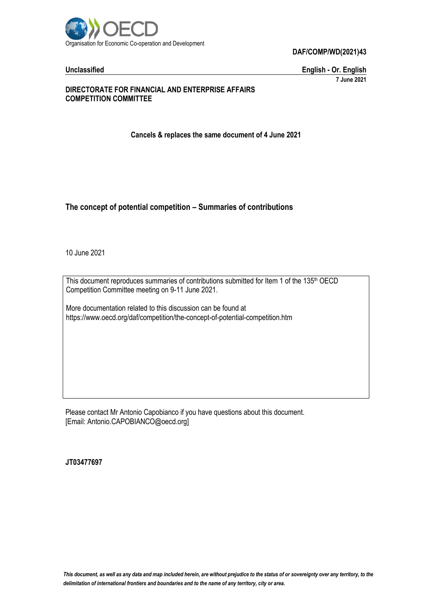

**DAF/COMP/WD(2021)43**

**Unclassified English - Or. English 7 June 2021**

#### **DIRECTORATE FOR FINANCIAL AND ENTERPRISE AFFAIRS COMPETITION COMMITTEE**

**Cancels & replaces the same document of 4 June 2021**

**The concept of potential competition – Summaries of contributions**

10 June 2021

This document reproduces summaries of contributions submitted for Item 1 of the 135<sup>th</sup> OECD Competition Committee meeting on 9-11 June 2021.

More documentation related to this discussion can be found at https://www.oecd.org/daf/competition/the-concept-of-potential-competition.htm

Please contact Mr Antonio Capobianco if you have questions about this document. [Email: Antonio.CAPOBIANCO@oecd.org]

**JT03477697**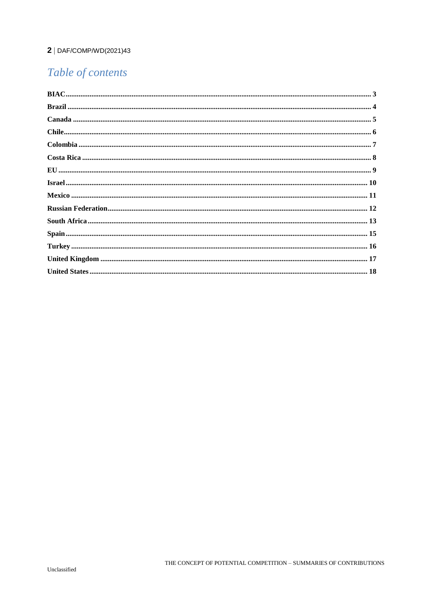#### $2 |$  DAF/COMP/WD(2021)43

# Table of contents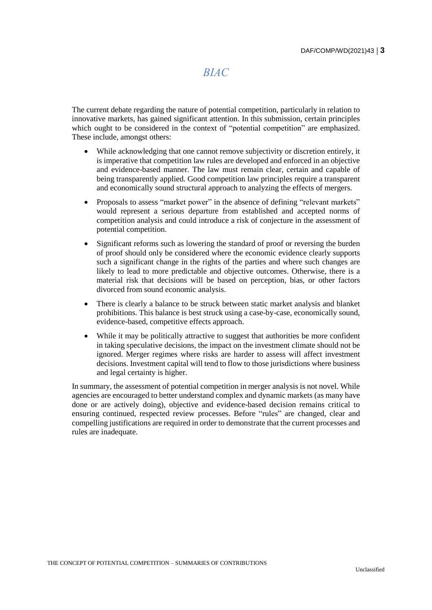*BIAC*

<span id="page-2-0"></span>The current debate regarding the nature of potential competition, particularly in relation to innovative markets, has gained significant attention. In this submission, certain principles which ought to be considered in the context of "potential competition" are emphasized. These include, amongst others:

- While acknowledging that one cannot remove subjectivity or discretion entirely, it is imperative that competition law rules are developed and enforced in an objective and evidence-based manner. The law must remain clear, certain and capable of being transparently applied. Good competition law principles require a transparent and economically sound structural approach to analyzing the effects of mergers.
- Proposals to assess "market power" in the absence of defining "relevant markets" would represent a serious departure from established and accepted norms of competition analysis and could introduce a risk of conjecture in the assessment of potential competition.
- Significant reforms such as lowering the standard of proof or reversing the burden of proof should only be considered where the economic evidence clearly supports such a significant change in the rights of the parties and where such changes are likely to lead to more predictable and objective outcomes. Otherwise, there is a material risk that decisions will be based on perception, bias, or other factors divorced from sound economic analysis.
- There is clearly a balance to be struck between static market analysis and blanket prohibitions. This balance is best struck using a case-by-case, economically sound, evidence-based, competitive effects approach.
- While it may be politically attractive to suggest that authorities be more confident in taking speculative decisions, the impact on the investment climate should not be ignored. Merger regimes where risks are harder to assess will affect investment decisions. Investment capital will tend to flow to those jurisdictions where business and legal certainty is higher.

In summary, the assessment of potential competition in merger analysis is not novel. While agencies are encouraged to better understand complex and dynamic markets (as many have done or are actively doing), objective and evidence-based decision remains critical to ensuring continued, respected review processes. Before "rules" are changed, clear and compelling justifications are required in order to demonstrate that the current processes and rules are inadequate.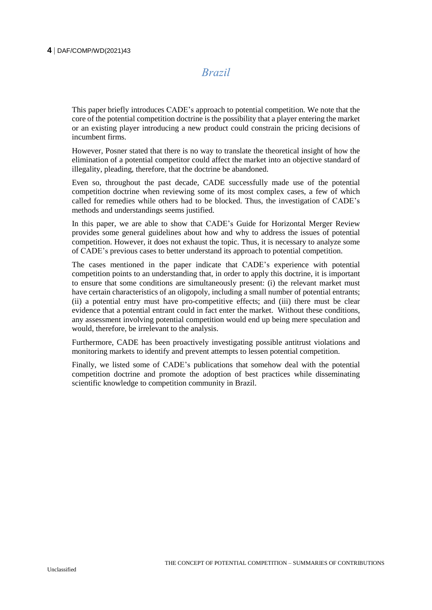*Brazil*

<span id="page-3-0"></span>This paper briefly introduces CADE's approach to potential competition. We note that the core of the potential competition doctrine is the possibility that a player entering the market or an existing player introducing a new product could constrain the pricing decisions of incumbent firms.

However, Posner stated that there is no way to translate the theoretical insight of how the elimination of a potential competitor could affect the market into an objective standard of illegality, pleading, therefore, that the doctrine be abandoned.

Even so, throughout the past decade, CADE successfully made use of the potential competition doctrine when reviewing some of its most complex cases, a few of which called for remedies while others had to be blocked. Thus, the investigation of CADE's methods and understandings seems justified.

In this paper, we are able to show that CADE's Guide for Horizontal Merger Review provides some general guidelines about how and why to address the issues of potential competition. However, it does not exhaust the topic. Thus, it is necessary to analyze some of CADE's previous cases to better understand its approach to potential competition.

The cases mentioned in the paper indicate that CADE's experience with potential competition points to an understanding that, in order to apply this doctrine, it is important to ensure that some conditions are simultaneously present: (i) the relevant market must have certain characteristics of an oligopoly, including a small number of potential entrants; (ii) a potential entry must have pro-competitive effects; and (iii) there must be clear evidence that a potential entrant could in fact enter the market. Without these conditions, any assessment involving potential competition would end up being mere speculation and would, therefore, be irrelevant to the analysis.

Furthermore, CADE has been proactively investigating possible antitrust violations and monitoring markets to identify and prevent attempts to lessen potential competition.

Finally, we listed some of CADE's publications that somehow deal with the potential competition doctrine and promote the adoption of best practices while disseminating scientific knowledge to competition community in Brazil.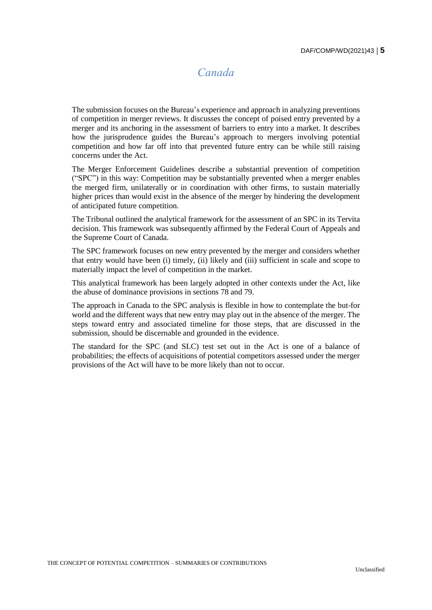#### *Canada*

<span id="page-4-0"></span>The submission focuses on the Bureau's experience and approach in analyzing preventions of competition in merger reviews. It discusses the concept of poised entry prevented by a merger and its anchoring in the assessment of barriers to entry into a market. It describes how the jurisprudence guides the Bureau's approach to mergers involving potential competition and how far off into that prevented future entry can be while still raising concerns under the Act.

The Merger Enforcement Guidelines describe a substantial prevention of competition ("SPC") in this way: Competition may be substantially prevented when a merger enables the merged firm, unilaterally or in coordination with other firms, to sustain materially higher prices than would exist in the absence of the merger by hindering the development of anticipated future competition.

The Tribunal outlined the analytical framework for the assessment of an SPC in its Tervita decision. This framework was subsequently affirmed by the Federal Court of Appeals and the Supreme Court of Canada.

The SPC framework focuses on new entry prevented by the merger and considers whether that entry would have been (i) timely, (ii) likely and (iii) sufficient in scale and scope to materially impact the level of competition in the market.

This analytical framework has been largely adopted in other contexts under the Act, like the abuse of dominance provisions in sections 78 and 79.

The approach in Canada to the SPC analysis is flexible in how to contemplate the but-for world and the different ways that new entry may play out in the absence of the merger. The steps toward entry and associated timeline for those steps, that are discussed in the submission, should be discernable and grounded in the evidence.

The standard for the SPC (and SLC) test set out in the Act is one of a balance of probabilities; the effects of acquisitions of potential competitors assessed under the merger provisions of the Act will have to be more likely than not to occur.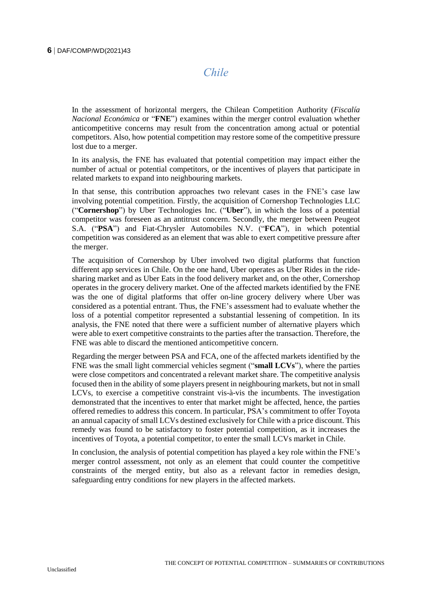#### *Chile*

<span id="page-5-0"></span>In the assessment of horizontal mergers, the Chilean Competition Authority (*Fiscalía Nacional Económica* or "**FNE**") examines within the merger control evaluation whether anticompetitive concerns may result from the concentration among actual or potential competitors. Also, how potential competition may restore some of the competitive pressure lost due to a merger.

In its analysis, the FNE has evaluated that potential competition may impact either the number of actual or potential competitors, or the incentives of players that participate in related markets to expand into neighbouring markets.

In that sense, this contribution approaches two relevant cases in the FNE's case law involving potential competition. Firstly, the acquisition of Cornershop Technologies LLC ("**Cornershop**") by Uber Technologies Inc. ("**Uber**"), in which the loss of a potential competitor was foreseen as an antitrust concern. Secondly, the merger between Peugeot S.A. ("**PSA**") and Fiat-Chrysler Automobiles N.V. ("**FCA**"), in which potential competition was considered as an element that was able to exert competitive pressure after the merger.

The acquisition of Cornershop by Uber involved two digital platforms that function different app services in Chile. On the one hand, Uber operates as Uber Rides in the ridesharing market and as Uber Eats in the food delivery market and, on the other, Cornershop operates in the grocery delivery market. One of the affected markets identified by the FNE was the one of digital platforms that offer on-line grocery delivery where Uber was considered as a potential entrant. Thus, the FNE's assessment had to evaluate whether the loss of a potential competitor represented a substantial lessening of competition. In its analysis, the FNE noted that there were a sufficient number of alternative players which were able to exert competitive constraints to the parties after the transaction. Therefore, the FNE was able to discard the mentioned anticompetitive concern.

Regarding the merger between PSA and FCA, one of the affected markets identified by the FNE was the small light commercial vehicles segment ("**small LCVs**"), where the parties were close competitors and concentrated a relevant market share. The competitive analysis focused then in the ability of some players present in neighbouring markets, but not in small LCVs, to exercise a competitive constraint vis-à-vis the incumbents. The investigation demonstrated that the incentives to enter that market might be affected, hence, the parties offered remedies to address this concern. In particular, PSA's commitment to offer Toyota an annual capacity of small LCVs destined exclusively for Chile with a price discount. This remedy was found to be satisfactory to foster potential competition, as it increases the incentives of Toyota, a potential competitor, to enter the small LCVs market in Chile.

In conclusion, the analysis of potential competition has played a key role within the FNE's merger control assessment, not only as an element that could counter the competitive constraints of the merged entity, but also as a relevant factor in remedies design, safeguarding entry conditions for new players in the affected markets.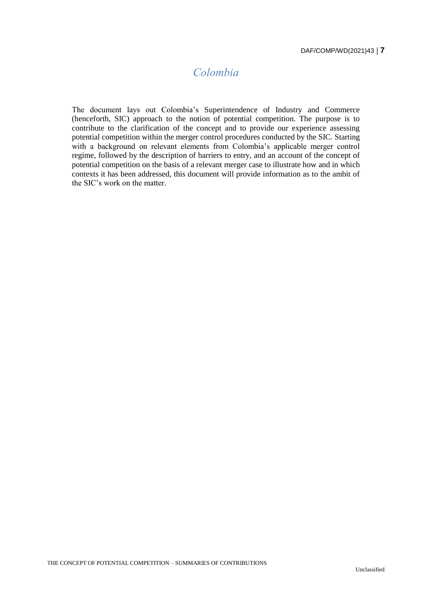#### *Colombia*

<span id="page-6-0"></span>The document lays out Colombia's Superintendence of Industry and Commerce (henceforth, SIC) approach to the notion of potential competition. The purpose is to contribute to the clarification of the concept and to provide our experience assessing potential competition within the merger control procedures conducted by the SIC. Starting with a background on relevant elements from Colombia's applicable merger control regime, followed by the description of barriers to entry, and an account of the concept of potential competition on the basis of a relevant merger case to illustrate how and in which contexts it has been addressed, this document will provide information as to the ambit of the SIC's work on the matter.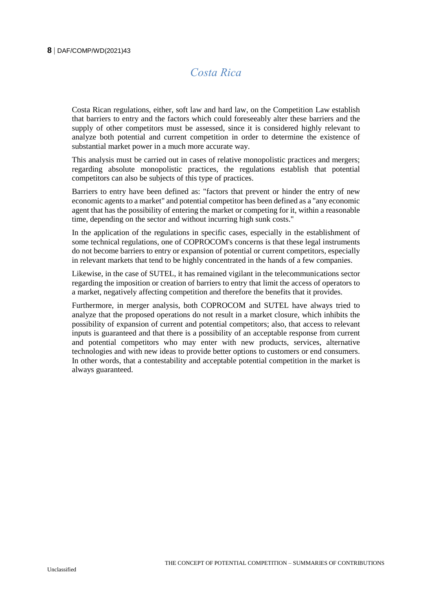### *Costa Rica*

<span id="page-7-0"></span>Costa Rican regulations, either, soft law and hard law, on the Competition Law establish that barriers to entry and the factors which could foreseeably alter these barriers and the supply of other competitors must be assessed, since it is considered highly relevant to analyze both potential and current competition in order to determine the existence of substantial market power in a much more accurate way.

This analysis must be carried out in cases of relative monopolistic practices and mergers; regarding absolute monopolistic practices, the regulations establish that potential competitors can also be subjects of this type of practices.

Barriers to entry have been defined as: "factors that prevent or hinder the entry of new economic agents to a market" and potential competitor has been defined as a "any economic agent that has the possibility of entering the market or competing for it, within a reasonable time, depending on the sector and without incurring high sunk costs."

In the application of the regulations in specific cases, especially in the establishment of some technical regulations, one of COPROCOM's concerns is that these legal instruments do not become barriers to entry or expansion of potential or current competitors, especially in relevant markets that tend to be highly concentrated in the hands of a few companies.

Likewise, in the case of SUTEL, it has remained vigilant in the telecommunications sector regarding the imposition or creation of barriers to entry that limit the access of operators to a market, negatively affecting competition and therefore the benefits that it provides.

Furthermore, in merger analysis, both COPROCOM and SUTEL have always tried to analyze that the proposed operations do not result in a market closure, which inhibits the possibility of expansion of current and potential competitors; also, that access to relevant inputs is guaranteed and that there is a possibility of an acceptable response from current and potential competitors who may enter with new products, services, alternative technologies and with new ideas to provide better options to customers or end consumers. In other words, that a contestability and acceptable potential competition in the market is always guaranteed.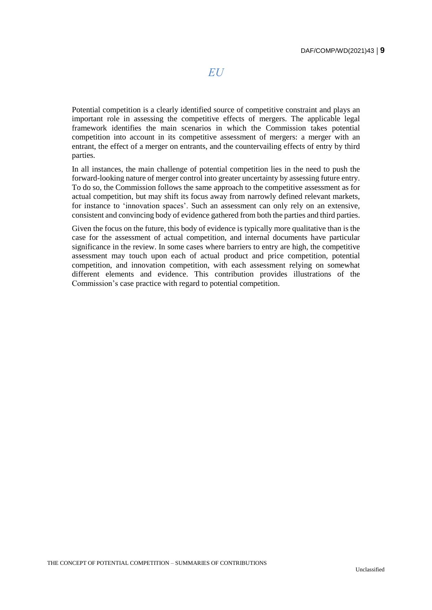*EU*

<span id="page-8-0"></span>Potential competition is a clearly identified source of competitive constraint and plays an important role in assessing the competitive effects of mergers. The applicable legal framework identifies the main scenarios in which the Commission takes potential competition into account in its competitive assessment of mergers: a merger with an entrant, the effect of a merger on entrants, and the countervailing effects of entry by third parties.

In all instances, the main challenge of potential competition lies in the need to push the forward-looking nature of merger control into greater uncertainty by assessing future entry. To do so, the Commission follows the same approach to the competitive assessment as for actual competition, but may shift its focus away from narrowly defined relevant markets, for instance to 'innovation spaces'. Such an assessment can only rely on an extensive, consistent and convincing body of evidence gathered from both the parties and third parties.

Given the focus on the future, this body of evidence is typically more qualitative than is the case for the assessment of actual competition, and internal documents have particular significance in the review. In some cases where barriers to entry are high, the competitive assessment may touch upon each of actual product and price competition, potential competition, and innovation competition, with each assessment relying on somewhat different elements and evidence. This contribution provides illustrations of the Commission's case practice with regard to potential competition.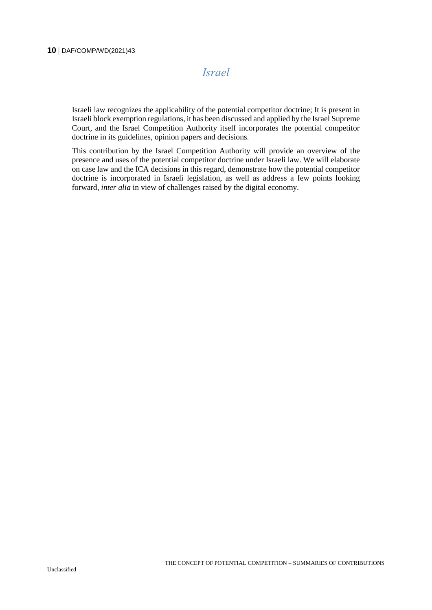#### *Israel*

<span id="page-9-0"></span>Israeli law recognizes the applicability of the potential competitor doctrine; It is present in Israeli block exemption regulations, it has been discussed and applied by the Israel Supreme Court, and the Israel Competition Authority itself incorporates the potential competitor doctrine in its guidelines, opinion papers and decisions.

This contribution by the Israel Competition Authority will provide an overview of the presence and uses of the potential competitor doctrine under Israeli law. We will elaborate on case law and the ICA decisions in this regard, demonstrate how the potential competitor doctrine is incorporated in Israeli legislation, as well as address a few points looking forward, *inter alia* in view of challenges raised by the digital economy.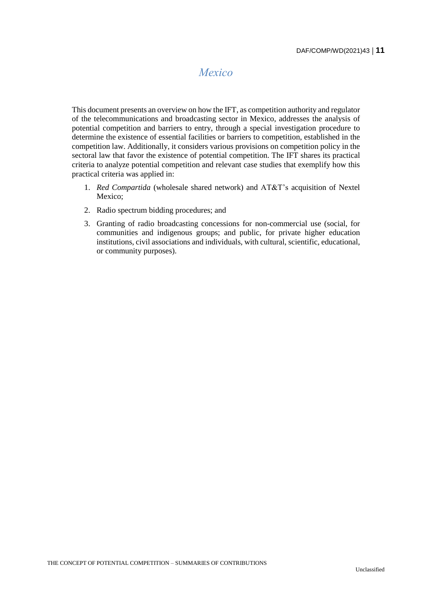#### *Mexico*

<span id="page-10-0"></span>This document presents an overview on how the IFT, as competition authority and regulator of the telecommunications and broadcasting sector in Mexico, addresses the analysis of potential competition and barriers to entry, through a special investigation procedure to determine the existence of essential facilities or barriers to competition, established in the competition law. Additionally, it considers various provisions on competition policy in the sectoral law that favor the existence of potential competition. The IFT shares its practical criteria to analyze potential competition and relevant case studies that exemplify how this practical criteria was applied in:

- 1. *Red Compartida* (wholesale shared network) and AT&T's acquisition of Nextel Mexico;
- 2. Radio spectrum bidding procedures; and
- 3. Granting of radio broadcasting concessions for non-commercial use (social, for communities and indigenous groups; and public, for private higher education institutions, civil associations and individuals, with cultural, scientific, educational, or community purposes).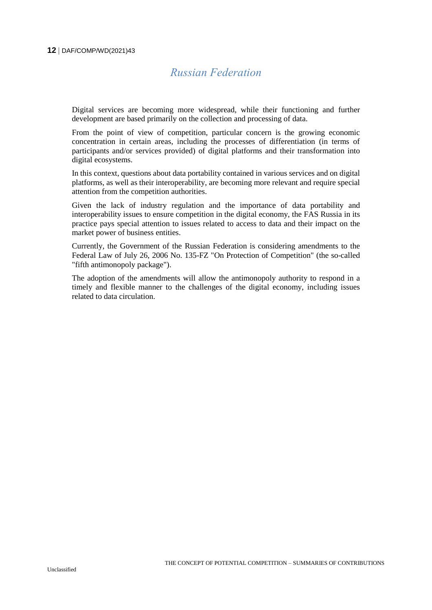#### *Russian Federation*

<span id="page-11-0"></span>Digital services are becoming more widespread, while their functioning and further development are based primarily on the collection and processing of data.

From the point of view of competition, particular concern is the growing economic concentration in certain areas, including the processes of differentiation (in terms of participants and/or services provided) of digital platforms and their transformation into digital ecosystems.

In this context, questions about data portability contained in various services and on digital platforms, as well as their interoperability, are becoming more relevant and require special attention from the competition authorities.

Given the lack of industry regulation and the importance of data portability and interoperability issues to ensure competition in the digital economy, the FAS Russia in its practice pays special attention to issues related to access to data and their impact on the market power of business entities.

Currently, the Government of the Russian Federation is considering amendments to the Federal Law of July 26, 2006 No. 135-FZ "On Protection of Competition" (the so-called "fifth antimonopoly package").

The adoption of the amendments will allow the antimonopoly authority to respond in a timely and flexible manner to the challenges of the digital economy, including issues related to data circulation.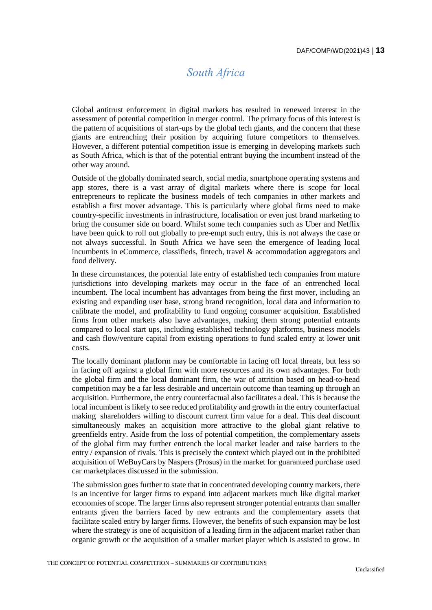## *South Africa*

<span id="page-12-0"></span>Global antitrust enforcement in digital markets has resulted in renewed interest in the assessment of potential competition in merger control. The primary focus of this interest is the pattern of acquisitions of start-ups by the global tech giants, and the concern that these giants are entrenching their position by acquiring future competitors to themselves. However, a different potential competition issue is emerging in developing markets such as South Africa, which is that of the potential entrant buying the incumbent instead of the other way around.

Outside of the globally dominated search, social media, smartphone operating systems and app stores, there is a vast array of digital markets where there is scope for local entrepreneurs to replicate the business models of tech companies in other markets and establish a first mover advantage. This is particularly where global firms need to make country-specific investments in infrastructure, localisation or even just brand marketing to bring the consumer side on board. Whilst some tech companies such as Uber and Netflix have been quick to roll out globally to pre-empt such entry, this is not always the case or not always successful. In South Africa we have seen the emergence of leading local incumbents in eCommerce, classifieds, fintech, travel  $\&$  accommodation aggregators and food delivery.

In these circumstances, the potential late entry of established tech companies from mature jurisdictions into developing markets may occur in the face of an entrenched local incumbent. The local incumbent has advantages from being the first mover, including an existing and expanding user base, strong brand recognition, local data and information to calibrate the model, and profitability to fund ongoing consumer acquisition. Established firms from other markets also have advantages, making them strong potential entrants compared to local start ups, including established technology platforms, business models and cash flow/venture capital from existing operations to fund scaled entry at lower unit costs.

The locally dominant platform may be comfortable in facing off local threats, but less so in facing off against a global firm with more resources and its own advantages. For both the global firm and the local dominant firm, the war of attrition based on head-to-head competition may be a far less desirable and uncertain outcome than teaming up through an acquisition. Furthermore, the entry counterfactual also facilitates a deal. This is because the local incumbent is likely to see reduced profitability and growth in the entry counterfactual making shareholders willing to discount current firm value for a deal. This deal discount simultaneously makes an acquisition more attractive to the global giant relative to greenfields entry. Aside from the loss of potential competition, the complementary assets of the global firm may further entrench the local market leader and raise barriers to the entry / expansion of rivals. This is precisely the context which played out in the prohibited acquisition of WeBuyCars by Naspers (Prosus) in the market for guaranteed purchase used car marketplaces discussed in the submission.

The submission goes further to state that in concentrated developing country markets, there is an incentive for larger firms to expand into adjacent markets much like digital market economies of scope. The larger firms also represent stronger potential entrants than smaller entrants given the barriers faced by new entrants and the complementary assets that facilitate scaled entry by larger firms. However, the benefits of such expansion may be lost where the strategy is one of acquisition of a leading firm in the adjacent market rather than organic growth or the acquisition of a smaller market player which is assisted to grow. In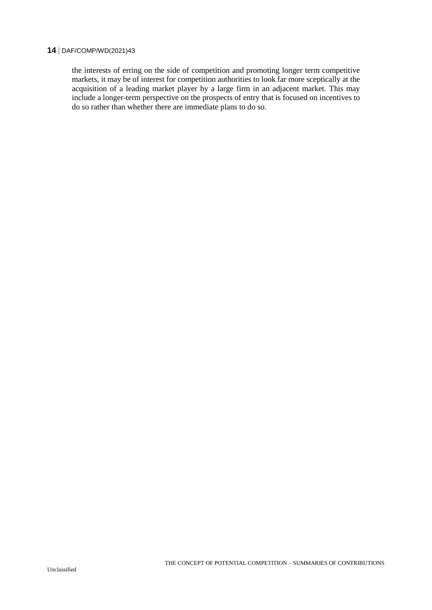#### **14** DAF/COMP/WD(2021)43

the interests of erring on the side of competition and promoting longer term competitive markets, it may be of interest for competition authorities to look far more sceptically at the acquisition of a leading market player by a large firm in an adjacent market. This may include a longer-term perspective on the prospects of entry that is focused on incentives to do so rather than whether there are immediate plans to do so.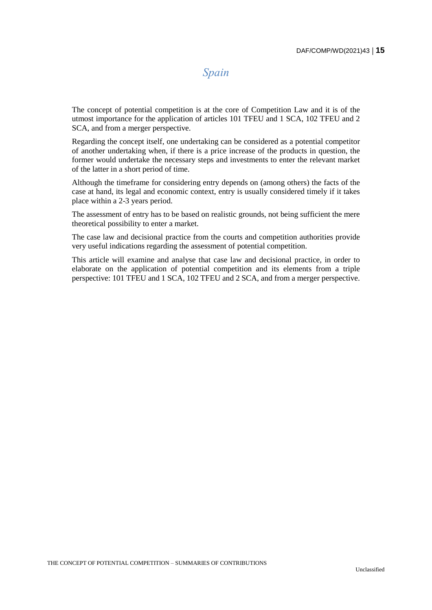#### *Spain*

<span id="page-14-0"></span>The concept of potential competition is at the core of Competition Law and it is of the utmost importance for the application of articles 101 TFEU and 1 SCA, 102 TFEU and 2 SCA, and from a merger perspective.

Regarding the concept itself, one undertaking can be considered as a potential competitor of another undertaking when, if there is a price increase of the products in question, the former would undertake the necessary steps and investments to enter the relevant market of the latter in a short period of time.

Although the timeframe for considering entry depends on (among others) the facts of the case at hand, its legal and economic context, entry is usually considered timely if it takes place within a 2-3 years period.

The assessment of entry has to be based on realistic grounds, not being sufficient the mere theoretical possibility to enter a market.

The case law and decisional practice from the courts and competition authorities provide very useful indications regarding the assessment of potential competition.

This article will examine and analyse that case law and decisional practice, in order to elaborate on the application of potential competition and its elements from a triple perspective: 101 TFEU and 1 SCA, 102 TFEU and 2 SCA, and from a merger perspective.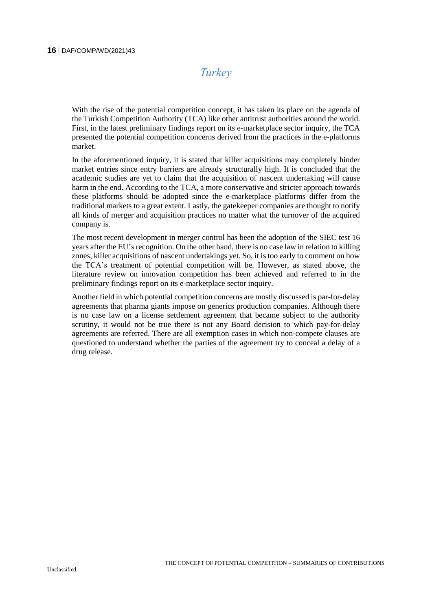#### *Turkey*

<span id="page-15-0"></span>With the rise of the potential competition concept, it has taken its place on the agenda of the Turkish Competition Authority (TCA) like other antitrust authorities around the world. First, in the latest preliminary findings report on its e-marketplace sector inquiry, the TCA presented the potential competition concerns derived from the practices in the e-platforms market.

In the aforementioned inquiry, it is stated that killer acquisitions may completely hinder market entries since entry barriers are already structurally high. It is concluded that the academic studies are yet to claim that the acquisition of nascent undertaking will cause harm in the end. According to the TCA, a more conservative and stricter approach towards these platforms should be adopted since the e-marketplace platforms differ from the traditional markets to a great extent. Lastly, the gatekeeper companies are thought to notify all kinds of merger and acquisition practices no matter what the turnover of the acquired company is.

The most recent development in merger control has been the adoption of the SIEC test 16 years after the EU's recognition. On the other hand, there is no case law in relation to killing zones, killer acquisitions of nascent undertakings yet. So, it is too early to comment on how the TCA's treatment of potential competition will be. However, as stated above, the literature review on innovation competition has been achieved and referred to in the preliminary findings report on its e-marketplace sector inquiry.

Another field in which potential competition concerns are mostly discussed is par-for-delay agreements that pharma giants impose on generics production companies. Although there is no case law on a license settlement agreement that became subject to the authority scrutiny, it would not be true there is not any Board decision to which pay-for-delay agreements are referred. There are all exemption cases in which non-compete clauses are questioned to understand whether the parties of the agreement try to conceal a delay of a drug release.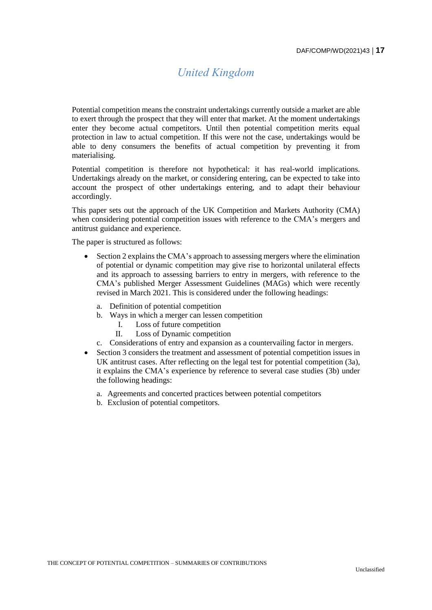#### *United Kingdom*

<span id="page-16-0"></span>Potential competition means the constraint undertakings currently outside a market are able to exert through the prospect that they will enter that market. At the moment undertakings enter they become actual competitors. Until then potential competition merits equal protection in law to actual competition. If this were not the case, undertakings would be able to deny consumers the benefits of actual competition by preventing it from materialising.

Potential competition is therefore not hypothetical: it has real-world implications. Undertakings already on the market, or considering entering, can be expected to take into account the prospect of other undertakings entering, and to adapt their behaviour accordingly.

This paper sets out the approach of the UK Competition and Markets Authority (CMA) when considering potential competition issues with reference to the CMA's mergers and antitrust guidance and experience.

The paper is structured as follows:

- Section 2 explains the CMA's approach to assessing mergers where the elimination of potential or dynamic competition may give rise to horizontal unilateral effects and its approach to assessing barriers to entry in mergers, with reference to the CMA's published Merger Assessment Guidelines (MAGs) which were recently revised in March 2021. This is considered under the following headings:
	- a. Definition of potential competition
	- b. Ways in which a merger can lessen competition
		- I. Loss of future competition
		- II. Loss of Dynamic competition
	- c. Considerations of entry and expansion as a countervailing factor in mergers.
- Section 3 considers the treatment and assessment of potential competition issues in UK antitrust cases. After reflecting on the legal test for potential competition (3a), it explains the CMA's experience by reference to several case studies (3b) under the following headings:
	- a. Agreements and concerted practices between potential competitors
	- b. Exclusion of potential competitors.